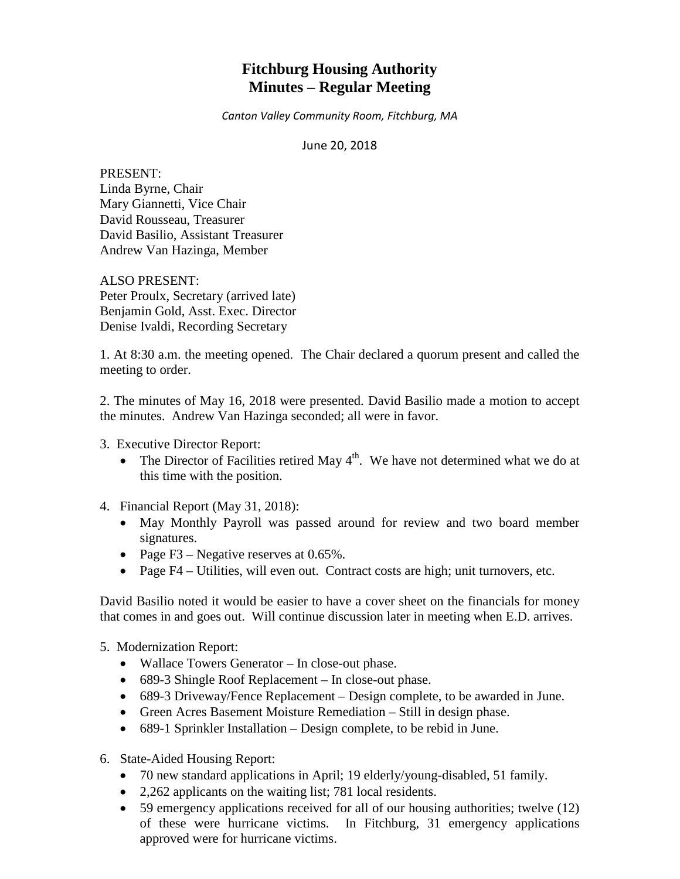# **Fitchburg Housing Authority Minutes – Regular Meeting**

*Canton Valley Community Room, Fitchburg, MA*

June 20, 2018

PRESENT: Linda Byrne, Chair Mary Giannetti, Vice Chair David Rousseau, Treasurer David Basilio, Assistant Treasurer Andrew Van Hazinga, Member

ALSO PRESENT: Peter Proulx, Secretary (arrived late) Benjamin Gold, Asst. Exec. Director Denise Ivaldi, Recording Secretary

1. At 8:30 a.m. the meeting opened. The Chair declared a quorum present and called the meeting to order.

2. The minutes of May 16, 2018 were presented. David Basilio made a motion to accept the minutes. Andrew Van Hazinga seconded; all were in favor.

3. Executive Director Report:

- The Director of Facilities retired May  $4<sup>th</sup>$ . We have not determined what we do at this time with the position.
- 4. Financial Report (May 31, 2018):
	- May Monthly Payroll was passed around for review and two board member signatures.
	- Page F3 Negative reserves at 0.65%.
	- Page F4 Utilities, will even out. Contract costs are high; unit turnovers, etc.

David Basilio noted it would be easier to have a cover sheet on the financials for money that comes in and goes out. Will continue discussion later in meeting when E.D. arrives.

- 5. Modernization Report:
	- Wallace Towers Generator In close-out phase.
	- 689-3 Shingle Roof Replacement In close-out phase.
	- 689-3 Driveway/Fence Replacement Design complete, to be awarded in June.
	- Green Acres Basement Moisture Remediation Still in design phase.
	- 689-1 Sprinkler Installation Design complete, to be rebid in June.
- 6. State-Aided Housing Report:
	- 70 new standard applications in April; 19 elderly/young-disabled, 51 family.
	- 2,262 applicants on the waiting list; 781 local residents.
	- 59 emergency applications received for all of our housing authorities; twelve (12) of these were hurricane victims. In Fitchburg, 31 emergency applications approved were for hurricane victims.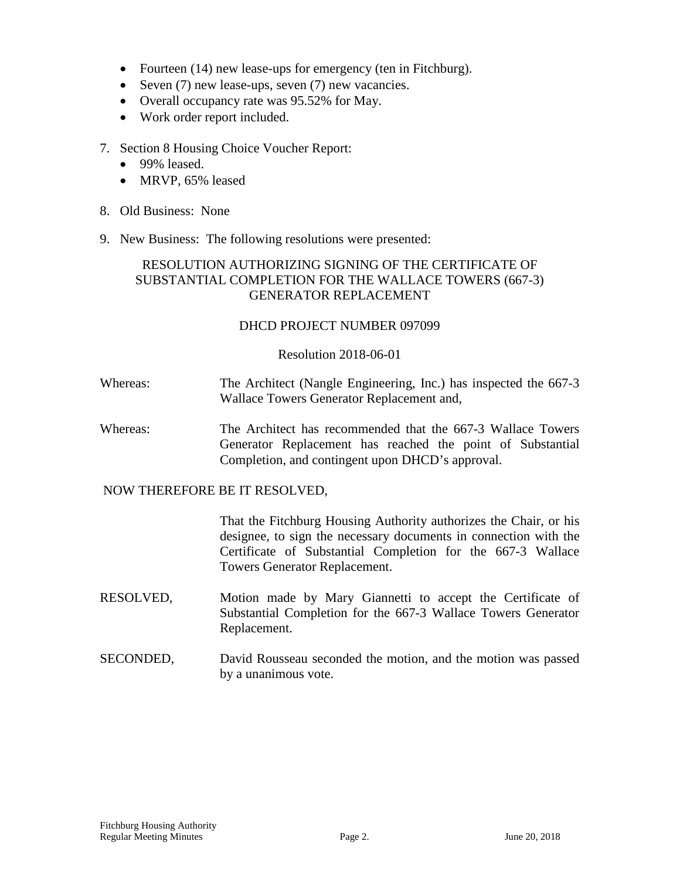- Fourteen (14) new lease-ups for emergency (ten in Fitchburg).
- Seven (7) new lease-ups, seven (7) new vacancies.
- Overall occupancy rate was 95.52% for May.
- Work order report included.
- 7. Section 8 Housing Choice Voucher Report:
	- 99% leased.
	- MRVP, 65% leased
- 8. Old Business: None
- 9. New Business: The following resolutions were presented:

# RESOLUTION AUTHORIZING SIGNING OF THE CERTIFICATE OF SUBSTANTIAL COMPLETION FOR THE WALLACE TOWERS (667-3) GENERATOR REPLACEMENT

# DHCD PROJECT NUMBER 097099

## Resolution 2018-06-01

- Whereas: The Architect (Nangle Engineering, Inc.) has inspected the 667-3 Wallace Towers Generator Replacement and,
- Whereas: The Architect has recommended that the 667-3 Wallace Towers Generator Replacement has reached the point of Substantial Completion, and contingent upon DHCD's approval.

## NOW THEREFORE BE IT RESOLVED,

That the Fitchburg Housing Authority authorizes the Chair, or his designee, to sign the necessary documents in connection with the Certificate of Substantial Completion for the 667-3 Wallace Towers Generator Replacement.

- RESOLVED, Motion made by Mary Giannetti to accept the Certificate of Substantial Completion for the 667-3 Wallace Towers Generator Replacement.
- SECONDED, David Rousseau seconded the motion, and the motion was passed by a unanimous vote.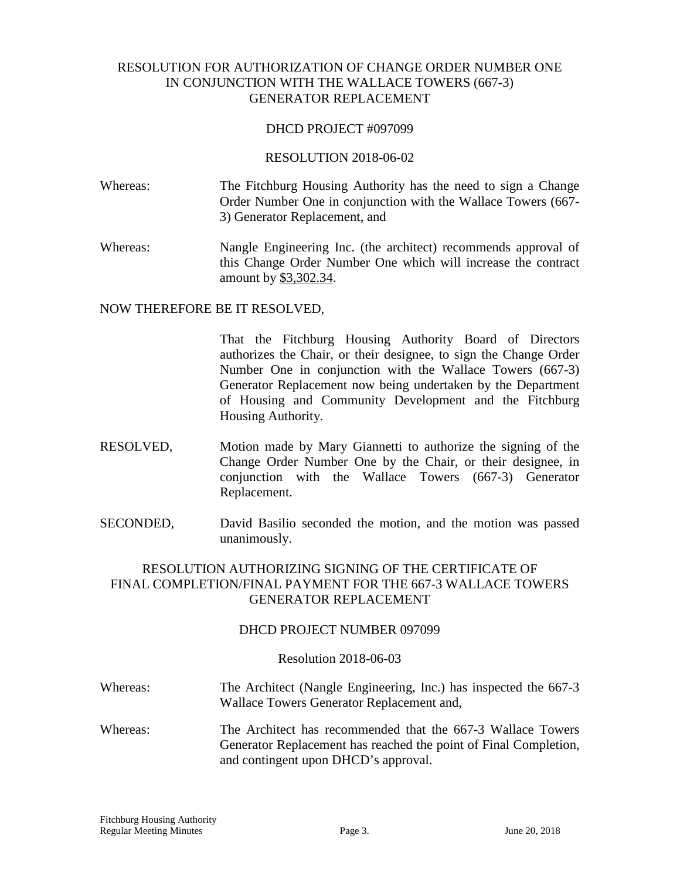# RESOLUTION FOR AUTHORIZATION OF CHANGE ORDER NUMBER ONE IN CONJUNCTION WITH THE WALLACE TOWERS (667-3) GENERATOR REPLACEMENT

## DHCD PROJECT #097099

#### RESOLUTION 2018-06-02

- Whereas: The Fitchburg Housing Authority has the need to sign a Change Order Number One in conjunction with the Wallace Towers (667- 3) Generator Replacement, and
- Whereas: Nangle Engineering Inc. (the architect) recommends approval of this Change Order Number One which will increase the contract amount by \$3,302.34.

#### NOW THEREFORE BE IT RESOLVED,

That the Fitchburg Housing Authority Board of Directors authorizes the Chair, or their designee, to sign the Change Order Number One in conjunction with the Wallace Towers (667-3) Generator Replacement now being undertaken by the Department of Housing and Community Development and the Fitchburg Housing Authority.

- RESOLVED, Motion made by Mary Giannetti to authorize the signing of the Change Order Number One by the Chair, or their designee, in conjunction with the Wallace Towers (667-3) Generator Replacement.
- SECONDED, David Basilio seconded the motion, and the motion was passed unanimously.

# RESOLUTION AUTHORIZING SIGNING OF THE CERTIFICATE OF FINAL COMPLETION/FINAL PAYMENT FOR THE 667-3 WALLACE TOWERS GENERATOR REPLACEMENT

#### DHCD PROJECT NUMBER 097099

#### Resolution 2018-06-03

- Whereas: The Architect (Nangle Engineering, Inc.) has inspected the 667-3 Wallace Towers Generator Replacement and,
- Whereas: The Architect has recommended that the 667-3 Wallace Towers Generator Replacement has reached the point of Final Completion, and contingent upon DHCD's approval.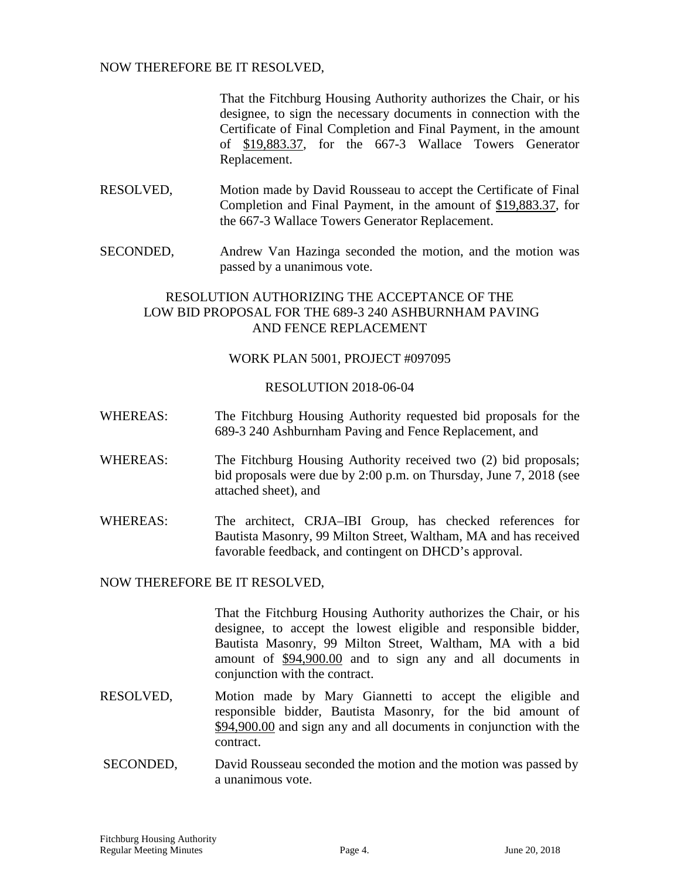## NOW THEREFORE BE IT RESOLVED,

That the Fitchburg Housing Authority authorizes the Chair, or his designee, to sign the necessary documents in connection with the Certificate of Final Completion and Final Payment, in the amount of \$19,883.37, for the 667-3 Wallace Towers Generator Replacement.

- RESOLVED, Motion made by David Rousseau to accept the Certificate of Final Completion and Final Payment, in the amount of \$19,883.37, for the 667-3 Wallace Towers Generator Replacement.
- SECONDED, Andrew Van Hazinga seconded the motion, and the motion was passed by a unanimous vote.

# RESOLUTION AUTHORIZING THE ACCEPTANCE OF THE LOW BID PROPOSAL FOR THE 689-3 240 ASHBURNHAM PAVING AND FENCE REPLACEMENT

## WORK PLAN 5001, PROJECT #097095

## RESOLUTION 2018-06-04

- WHEREAS: The Fitchburg Housing Authority requested bid proposals for the 689-3 240 Ashburnham Paving and Fence Replacement, and
- WHEREAS: The Fitchburg Housing Authority received two (2) bid proposals; bid proposals were due by 2:00 p.m. on Thursday, June 7, 2018 (see attached sheet), and
- WHEREAS: The architect, CRJA–IBI Group, has checked references for Bautista Masonry, 99 Milton Street, Waltham, MA and has received favorable feedback, and contingent on DHCD's approval.

# NOW THEREFORE BE IT RESOLVED,

That the Fitchburg Housing Authority authorizes the Chair, or his designee, to accept the lowest eligible and responsible bidder, Bautista Masonry, 99 Milton Street, Waltham, MA with a bid amount of \$94,900.00 and to sign any and all documents in conjunction with the contract.

- RESOLVED, Motion made by Mary Giannetti to accept the eligible and responsible bidder, Bautista Masonry, for the bid amount of \$94,900.00 and sign any and all documents in conjunction with the contract.
- SECONDED, David Rousseau seconded the motion and the motion was passed by a unanimous vote.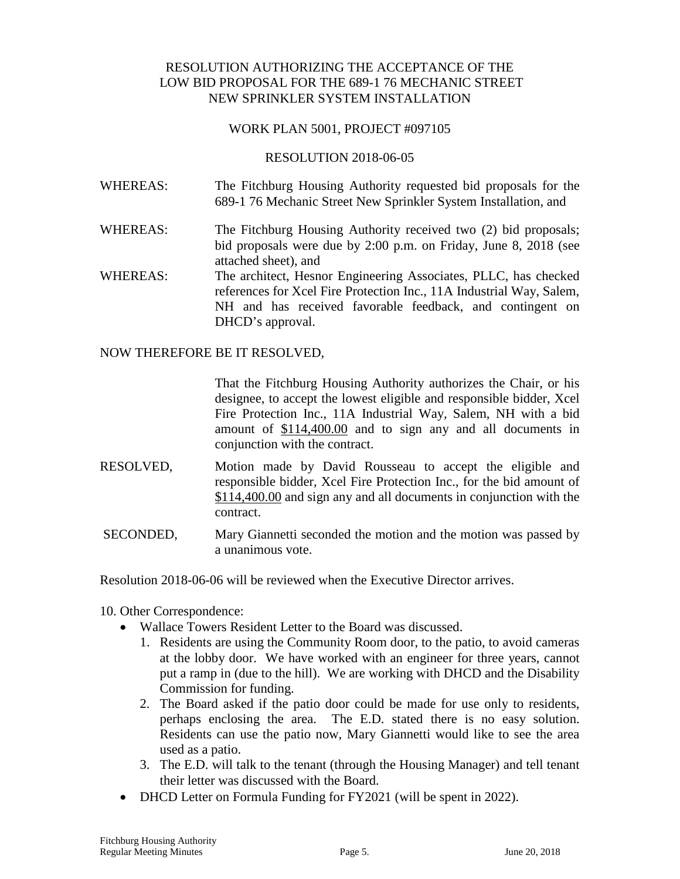# RESOLUTION AUTHORIZING THE ACCEPTANCE OF THE LOW BID PROPOSAL FOR THE 689-1 76 MECHANIC STREET NEW SPRINKLER SYSTEM INSTALLATION

## WORK PLAN 5001, PROJECT #097105

## RESOLUTION 2018-06-05

- WHEREAS: The Fitchburg Housing Authority requested bid proposals for the 689-1 76 Mechanic Street New Sprinkler System Installation, and
- WHEREAS: The Fitchburg Housing Authority received two (2) bid proposals; bid proposals were due by 2:00 p.m. on Friday, June 8, 2018 (see attached sheet), and
- WHEREAS: The architect, Hesnor Engineering Associates, PLLC, has checked references for Xcel Fire Protection Inc., 11A Industrial Way, Salem, NH and has received favorable feedback, and contingent on DHCD's approval.

NOW THEREFORE BE IT RESOLVED,

That the Fitchburg Housing Authority authorizes the Chair, or his designee, to accept the lowest eligible and responsible bidder, Xcel Fire Protection Inc., 11A Industrial Way, Salem, NH with a bid amount of \$114,400.00 and to sign any and all documents in conjunction with the contract.

- RESOLVED, Motion made by David Rousseau to accept the eligible and responsible bidder, Xcel Fire Protection Inc., for the bid amount of \$114,400.00 and sign any and all documents in conjunction with the contract.
- SECONDED, Mary Giannetti seconded the motion and the motion was passed by a unanimous vote.

Resolution 2018-06-06 will be reviewed when the Executive Director arrives.

- 10. Other Correspondence:
	- Wallace Towers Resident Letter to the Board was discussed.
		- 1. Residents are using the Community Room door, to the patio, to avoid cameras at the lobby door. We have worked with an engineer for three years, cannot put a ramp in (due to the hill). We are working with DHCD and the Disability Commission for funding.
		- 2. The Board asked if the patio door could be made for use only to residents, perhaps enclosing the area. The E.D. stated there is no easy solution. Residents can use the patio now, Mary Giannetti would like to see the area used as a patio.
		- 3. The E.D. will talk to the tenant (through the Housing Manager) and tell tenant their letter was discussed with the Board.
	- DHCD Letter on Formula Funding for FY2021 (will be spent in 2022).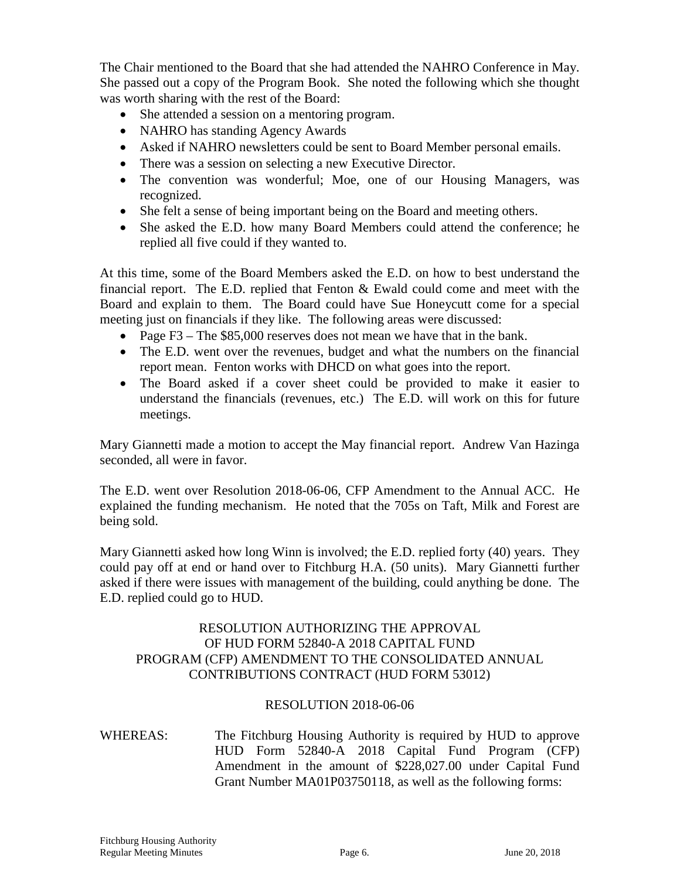The Chair mentioned to the Board that she had attended the NAHRO Conference in May. She passed out a copy of the Program Book. She noted the following which she thought was worth sharing with the rest of the Board:

- She attended a session on a mentoring program.
- NAHRO has standing Agency Awards
- Asked if NAHRO newsletters could be sent to Board Member personal emails.
- There was a session on selecting a new Executive Director.
- The convention was wonderful; Moe, one of our Housing Managers, was recognized.
- She felt a sense of being important being on the Board and meeting others.
- She asked the E.D. how many Board Members could attend the conference; he replied all five could if they wanted to.

At this time, some of the Board Members asked the E.D. on how to best understand the financial report. The E.D. replied that Fenton  $\&$  Ewald could come and meet with the Board and explain to them. The Board could have Sue Honeycutt come for a special meeting just on financials if they like. The following areas were discussed:

- Page F3 The \$85,000 reserves does not mean we have that in the bank.
- The E.D. went over the revenues, budget and what the numbers on the financial report mean. Fenton works with DHCD on what goes into the report.
- The Board asked if a cover sheet could be provided to make it easier to understand the financials (revenues, etc.) The E.D. will work on this for future meetings.

Mary Giannetti made a motion to accept the May financial report. Andrew Van Hazinga seconded, all were in favor.

The E.D. went over Resolution 2018-06-06, CFP Amendment to the Annual ACC. He explained the funding mechanism. He noted that the 705s on Taft, Milk and Forest are being sold.

Mary Giannetti asked how long Winn is involved; the E.D. replied forty (40) years. They could pay off at end or hand over to Fitchburg H.A. (50 units). Mary Giannetti further asked if there were issues with management of the building, could anything be done. The E.D. replied could go to HUD.

# RESOLUTION AUTHORIZING THE APPROVAL OF HUD FORM 52840-A 2018 CAPITAL FUND PROGRAM (CFP) AMENDMENT TO THE CONSOLIDATED ANNUAL CONTRIBUTIONS CONTRACT (HUD FORM 53012)

## RESOLUTION 2018-06-06

WHEREAS: The Fitchburg Housing Authority is required by HUD to approve HUD Form 52840-A 2018 Capital Fund Program (CFP) Amendment in the amount of \$228,027.00 under Capital Fund Grant Number MA01P03750118, as well as the following forms: